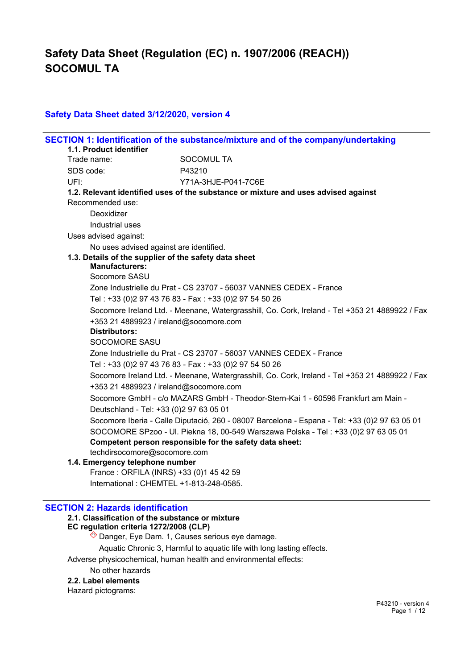## **Safety Data Sheet dated 3/12/2020, version 4**

|      | 1.1. Product identifier                                                                        | SECTION 1: Identification of the substance/mixture and of the company/undertaking              |  |  |
|------|------------------------------------------------------------------------------------------------|------------------------------------------------------------------------------------------------|--|--|
|      | Trade name:                                                                                    | <b>SOCOMUL TA</b>                                                                              |  |  |
|      | SDS code:                                                                                      | P43210                                                                                         |  |  |
| UFI: |                                                                                                | Y71A-3HJE-P041-7C6E                                                                            |  |  |
|      |                                                                                                | 1.2. Relevant identified uses of the substance or mixture and uses advised against             |  |  |
|      | Recommended use:                                                                               |                                                                                                |  |  |
|      | Deoxidizer                                                                                     |                                                                                                |  |  |
|      | Industrial uses                                                                                |                                                                                                |  |  |
|      | Uses advised against:                                                                          |                                                                                                |  |  |
|      | No uses advised against are identified.                                                        |                                                                                                |  |  |
|      | 1.3. Details of the supplier of the safety data sheet                                          |                                                                                                |  |  |
|      | <b>Manufacturers:</b>                                                                          |                                                                                                |  |  |
|      | Socomore SASU                                                                                  |                                                                                                |  |  |
|      |                                                                                                | Zone Industrielle du Prat - CS 23707 - 56037 VANNES CEDEX - France                             |  |  |
|      | Tel: +33 (0)2 97 43 76 83 - Fax: +33 (0)2 97 54 50 26                                          |                                                                                                |  |  |
|      | Socomore Ireland Ltd. - Meenane, Watergrasshill, Co. Cork, Ireland - Tel +353 21 4889922 / Fax |                                                                                                |  |  |
|      | +353 21 4889923 / ireland@socomore.com<br><b>Distributors:</b>                                 |                                                                                                |  |  |
|      | <b>SOCOMORE SASU</b>                                                                           |                                                                                                |  |  |
|      |                                                                                                | Zone Industrielle du Prat - CS 23707 - 56037 VANNES CEDEX - France                             |  |  |
|      |                                                                                                | Tel: +33 (0)2 97 43 76 83 - Fax: +33 (0)2 97 54 50 26                                          |  |  |
|      |                                                                                                | Socomore Ireland Ltd. - Meenane, Watergrasshill, Co. Cork, Ireland - Tel +353 21 4889922 / Fax |  |  |
|      | +353 21 4889923 / ireland@socomore.com                                                         |                                                                                                |  |  |
|      |                                                                                                | Socomore GmbH - c/o MAZARS GmbH - Theodor-Stern-Kai 1 - 60596 Frankfurt am Main -              |  |  |
|      | Deutschland - Tel: +33 (0) 2 97 63 05 01                                                       |                                                                                                |  |  |
|      |                                                                                                | Socomore Iberia - Calle Diputació, 260 - 08007 Barcelona - Espana - Tel: +33 (0)2 97 63 05 01  |  |  |
|      |                                                                                                | SOCOMORE SPzoo - UI. Piekna 18, 00-549 Warszawa Polska - Tel: +33 (0)2 97 63 05 01             |  |  |
|      |                                                                                                | Competent person responsible for the safety data sheet:                                        |  |  |
|      | techdirsocomore@socomore.com                                                                   |                                                                                                |  |  |
|      | 1.4. Emergency telephone number                                                                |                                                                                                |  |  |
|      | France: ORFILA (INRS) +33 (0)1 45 42 59                                                        |                                                                                                |  |  |
|      | International: CHEMTEL +1-813-248-0585.                                                        |                                                                                                |  |  |

#### **SECTION 2: Hazards identification**

# **2.1. Classification of the substance or mixture**

**EC regulation criteria 1272/2008 (CLP)**

 $\hat{\diamond}$  Danger, Eye Dam. 1, Causes serious eye damage.

Aquatic Chronic 3, Harmful to aquatic life with long lasting effects.

Adverse physicochemical, human health and environmental effects:

#### No other hazards

**2.2. Label elements**

Hazard pictograms: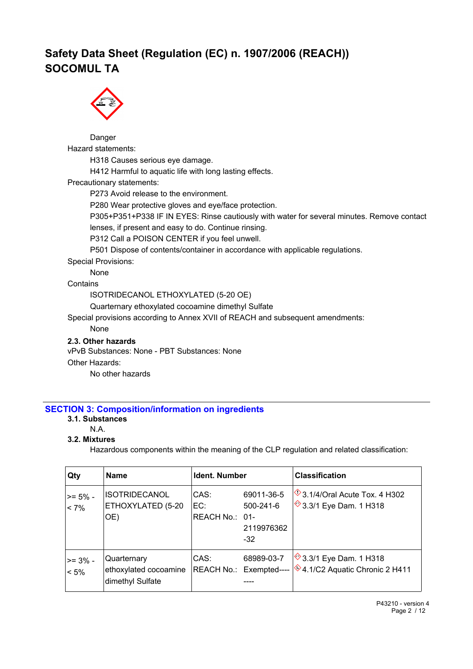

Danger Hazard statements: H318 Causes serious eye damage. H412 Harmful to aquatic life with long lasting effects. Precautionary statements: P273 Avoid release to the environment. P280 Wear protective gloves and eye/face protection. P305+P351+P338 IF IN EYES: Rinse cautiously with water for several minutes. Remove contact lenses, if present and easy to do. Continue rinsing. P312 Call a POISON CENTER if you feel unwell. P501 Dispose of contents/container in accordance with applicable regulations. Special Provisions: None

**Contains** 

ISOTRIDECANOL ETHOXYLATED (5-20 OE)

Quarternary ethoxylated cocoamine dimethyl Sulfate

Special provisions according to Annex XVII of REACH and subsequent amendments:

None

### **2.3. Other hazards**

vPvB Substances: None - PBT Substances: None

Other Hazards:

No other hazards

#### **SECTION 3: Composition/information on ingredients**

#### **3.1. Substances**

N.A.

## **3.2. Mixtures**

Hazardous components within the meaning of the CLP regulation and related classification:

| Qty                    | <b>Name</b>                                              | Ident. Number                 |                                                      | <b>Classification</b>                                                                                 |
|------------------------|----------------------------------------------------------|-------------------------------|------------------------------------------------------|-------------------------------------------------------------------------------------------------------|
| $>= 5\%$ -<br>$ $ < 7% | <b>ISOTRIDECANOL</b><br>ETHOXYLATED (5-20<br>OE)         | CAS:<br>EC:<br>REACH No.: 01- | 69011-36-5<br>$500 - 241 - 6$<br>2119976362<br>$-32$ | $\sqrt[6]{3.1/4}$ /Oral Acute Tox. 4 H302<br> ◇ 3.3/1 Eye Dam. 1 H318                                 |
| >= 3% -<br>$< 5\%$     | Quarternary<br>ethoxylated cocoamine<br>dimethyl Sulfate | CAS:                          | 68989-03-7                                           | <sup>◇</sup> 3.3/1 Eye Dam. 1 H318<br>REACH No.: Exempted---- $\sqrt{2}4.1/C2$ Aquatic Chronic 2 H411 |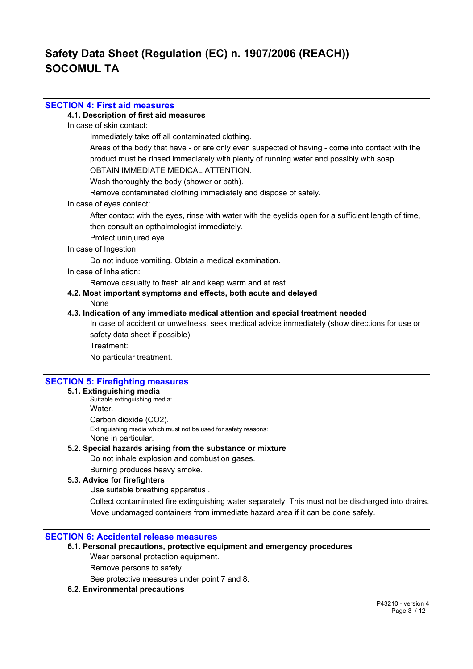### **SECTION 4: First aid measures**

### **4.1. Description of first aid measures**

In case of skin contact:

Immediately take off all contaminated clothing.

Areas of the body that have - or are only even suspected of having - come into contact with the product must be rinsed immediately with plenty of running water and possibly with soap.

OBTAIN IMMEDIATE MEDICAL ATTENTION.

Wash thoroughly the body (shower or bath).

Remove contaminated clothing immediately and dispose of safely.

In case of eyes contact:

After contact with the eyes, rinse with water with the eyelids open for a sufficient length of time, then consult an opthalmologist immediately.

Protect uninjured eye.

#### In case of Ingestion:

Do not induce vomiting. Obtain a medical examination.

In case of Inhalation:

Remove casualty to fresh air and keep warm and at rest.

**4.2. Most important symptoms and effects, both acute and delayed**

None

#### **4.3. Indication of any immediate medical attention and special treatment needed**

In case of accident or unwellness, seek medical advice immediately (show directions for use or safety data sheet if possible). Treatment:

No particular treatment.

## **SECTION 5: Firefighting measures**

### **5.1. Extinguishing media**

Suitable extinguishing media: Water. Carbon dioxide (CO2). Extinguishing media which must not be used for safety reasons: None in particular.

### **5.2. Special hazards arising from the substance or mixture**

Do not inhale explosion and combustion gases.

Burning produces heavy smoke.

## **5.3. Advice for firefighters**

Use suitable breathing apparatus .

Collect contaminated fire extinguishing water separately. This must not be discharged into drains. Move undamaged containers from immediate hazard area if it can be done safely.

### **SECTION 6: Accidental release measures**

## **6.1. Personal precautions, protective equipment and emergency procedures**

Wear personal protection equipment.

Remove persons to safety.

See protective measures under point 7 and 8.

### **6.2. Environmental precautions**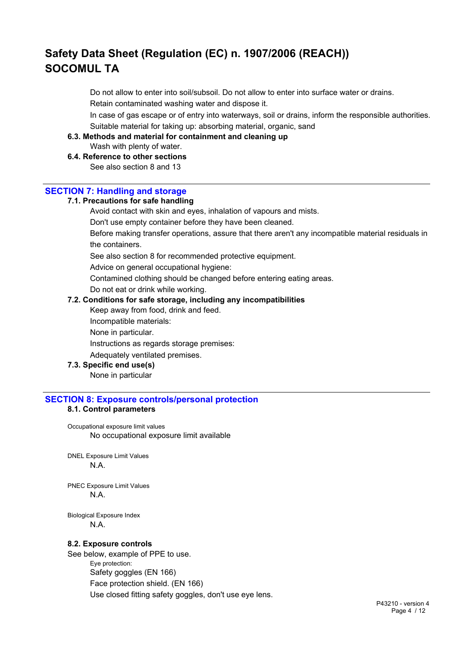Do not allow to enter into soil/subsoil. Do not allow to enter into surface water or drains. Retain contaminated washing water and dispose it.

In case of gas escape or of entry into waterways, soil or drains, inform the responsible authorities. Suitable material for taking up: absorbing material, organic, sand

#### **6.3. Methods and material for containment and cleaning up**

Wash with plenty of water.

## **6.4. Reference to other sections**

See also section 8 and 13

#### **SECTION 7: Handling and storage**

#### **7.1. Precautions for safe handling**

Avoid contact with skin and eyes, inhalation of vapours and mists.

Don't use empty container before they have been cleaned.

Before making transfer operations, assure that there aren't any incompatible material residuals in the containers.

See also section 8 for recommended protective equipment.

Advice on general occupational hygiene:

Contamined clothing should be changed before entering eating areas.

Do not eat or drink while working.

### **7.2. Conditions for safe storage, including any incompatibilities**

Keep away from food, drink and feed.

Incompatible materials:

None in particular.

Instructions as regards storage premises:

Adequately ventilated premises.

#### **7.3. Specific end use(s)**

None in particular

## **SECTION 8: Exposure controls/personal protection**

### **8.1. Control parameters**

Occupational exposure limit values No occupational exposure limit available

DNEL Exposure Limit Values N.A.

PNEC Exposure Limit Values N.A.

Biological Exposure Index N.A.

#### **8.2. Exposure controls**

See below, example of PPE to use. Eye protection: Safety goggles (EN 166) Face protection shield. (EN 166) Use closed fitting safety goggles, don't use eye lens.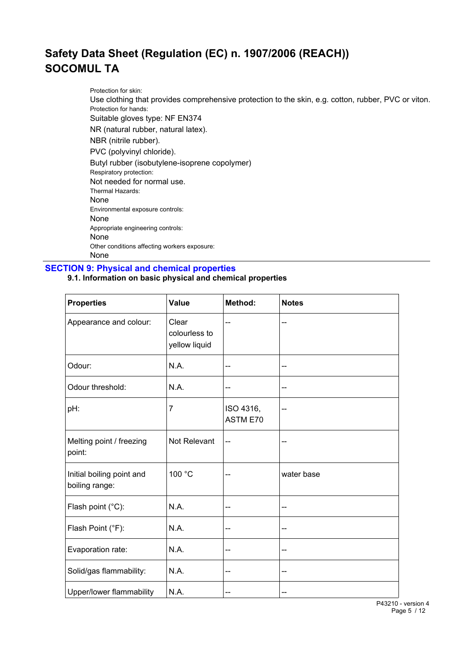Protection for skin: Use clothing that provides comprehensive protection to the skin, e.g. cotton, rubber, PVC or viton. Protection for hands: Suitable gloves type: NF EN374 NR (natural rubber, natural latex). NBR (nitrile rubber). PVC (polyvinyl chloride). Butyl rubber (isobutylene-isoprene copolymer) Respiratory protection: Not needed for normal use. Thermal Hazards: None Environmental exposure controls: None Appropriate engineering controls: None Other conditions affecting workers exposure: None

**SECTION 9: Physical and chemical properties**

### **9.1. Information on basic physical and chemical properties**

| <b>Properties</b>                           | <b>Value</b>                            | Method:               | <b>Notes</b> |
|---------------------------------------------|-----------------------------------------|-----------------------|--------------|
| Appearance and colour:                      | Clear<br>colourless to<br>yellow liquid | --                    | --           |
| Odour:                                      | N.A.                                    | --                    | --           |
| Odour threshold:                            | N.A.                                    | --                    | --           |
| pH:                                         | $\overline{7}$                          | ISO 4316,<br>ASTM E70 | --           |
| Melting point / freezing<br>point:          | Not Relevant                            | --                    | --           |
| Initial boiling point and<br>boiling range: | 100 °C                                  | --                    | water base   |
| Flash point (°C):                           | N.A.                                    | --                    | --           |
| Flash Point (°F):                           | N.A.                                    | --                    | --           |
| Evaporation rate:                           | N.A.                                    | --                    | --           |
| Solid/gas flammability:                     | N.A.                                    | --                    | --           |
| Upper/lower flammability                    | N.A.                                    | --                    | --           |

P43210 - version 4 Page 5 / 12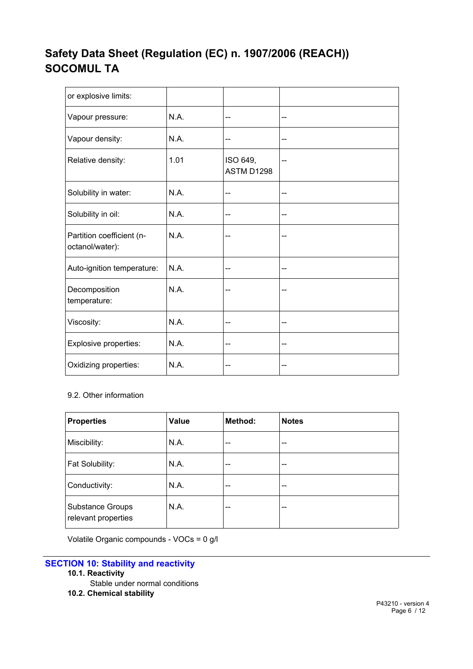| or explosive limits:                         |      |                        |    |
|----------------------------------------------|------|------------------------|----|
| Vapour pressure:                             | N.A. | --                     | -- |
| Vapour density:                              | N.A. | --                     | -- |
| Relative density:                            | 1.01 | ISO 649,<br>ASTM D1298 |    |
| Solubility in water:                         | N.A. | --                     | -- |
| Solubility in oil:                           | N.A. | --                     | -- |
| Partition coefficient (n-<br>octanol/water): | N.A. |                        |    |
| Auto-ignition temperature:                   | N.A. | --                     | -- |
| Decomposition<br>temperature:                | N.A. |                        |    |
| Viscosity:                                   | N.A. | --                     | -- |
| Explosive properties:                        | N.A. | --                     |    |
| Oxidizing properties:                        | N.A. | --                     | -- |

## 9.2. Other information

| <b>Properties</b>                              | Value | Method: | <b>Notes</b> |
|------------------------------------------------|-------|---------|--------------|
| Miscibility:                                   | N.A.  | --      | --           |
| Fat Solubility:                                | N.A.  | --      | --           |
| Conductivity:                                  | N.A.  | --      | --           |
| <b>Substance Groups</b><br>relevant properties | N.A.  | --      | --           |

Volatile Organic compounds - VOCs = 0 g/l

- **10.1. Reactivity**
	- Stable under normal conditions
- **10.2. Chemical stability**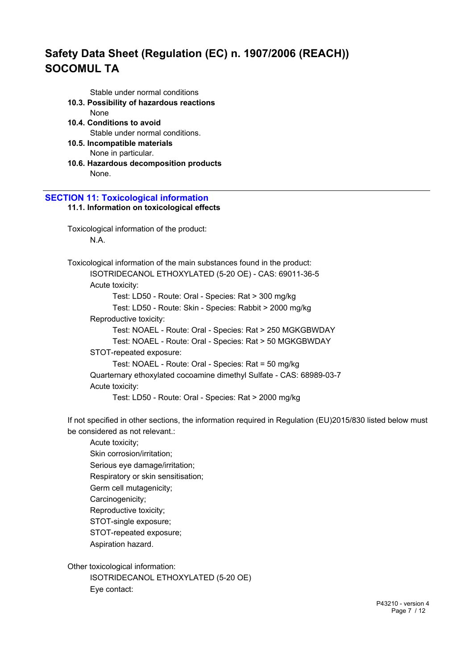Stable under normal conditions

- **10.3. Possibility of hazardous reactions**
	- None
- **10.4. Conditions to avoid** Stable under normal conditions.
- **10.5. Incompatible materials** None in particular.
- **10.6. Hazardous decomposition products** None.

### **SECTION 11: Toxicological information 11.1. Information on toxicological effects**

Toxicological information of the product: N.A.

Toxicological information of the main substances found in the product: ISOTRIDECANOL ETHOXYLATED (5-20 OE) - CAS: 69011-36-5 Acute toxicity: Test: LD50 - Route: Oral - Species: Rat > 300 mg/kg Test: LD50 - Route: Skin - Species: Rabbit > 2000 mg/kg Reproductive toxicity: Test: NOAEL - Route: Oral - Species: Rat > 250 MGKGBWDAY Test: NOAEL - Route: Oral - Species: Rat > 50 MGKGBWDAY STOT-repeated exposure: Test: NOAEL - Route: Oral - Species: Rat = 50 mg/kg Quarternary ethoxylated cocoamine dimethyl Sulfate - CAS: 68989-03-7 Acute toxicity: Test: LD50 - Route: Oral - Species: Rat > 2000 mg/kg

If not specified in other sections, the information required in Regulation (EU)2015/830 listed below must be considered as not relevant.:

Acute toxicity; Skin corrosion/irritation; Serious eye damage/irritation; Respiratory or skin sensitisation; Germ cell mutagenicity; Carcinogenicity; Reproductive toxicity; STOT-single exposure; STOT-repeated exposure; Aspiration hazard.

Other toxicological information:

ISOTRIDECANOL ETHOXYLATED (5-20 OE) Eye contact: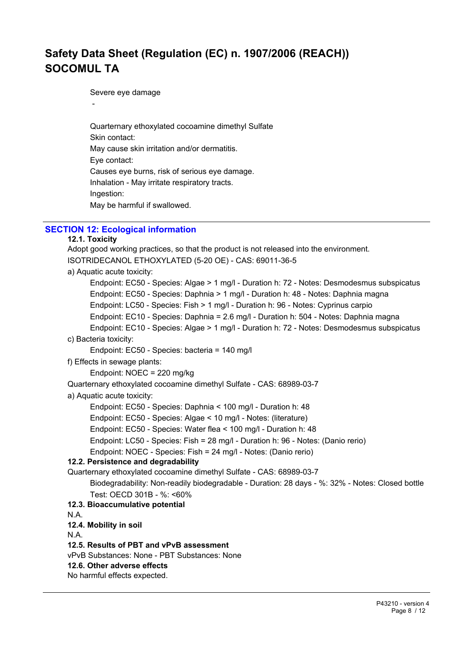Severe eye damage

Quarternary ethoxylated cocoamine dimethyl Sulfate Skin contact: May cause skin irritation and/or dermatitis. Eye contact: Causes eye burns, risk of serious eye damage. Inhalation - May irritate respiratory tracts. Ingestion: May be harmful if swallowed.

# **SECTION 12: Ecological information**

### **12.1. Toxicity**

-

```
Adopt good working practices, so that the product is not released into the environment.
ISOTRIDECANOL ETHOXYLATED (5-20 OE) - CAS: 69011-36-5
a) Aquatic acute toxicity:
      Endpoint: EC50 - Species: Algae > 1 mg/l - Duration h: 72 - Notes: Desmodesmus subspicatus
      Endpoint: EC50 - Species: Daphnia > 1 mg/l - Duration h: 48 - Notes: Daphnia magna
      Endpoint: LC50 - Species: Fish > 1 mg/l - Duration h: 96 - Notes: Cyprinus carpio
      Endpoint: EC10 - Species: Daphnia = 2.6 mg/l - Duration h: 504 - Notes: Daphnia magna
      Endpoint: EC10 - Species: Algae > 1 mg/l - Duration h: 72 - Notes: Desmodesmus subspicatus
c) Bacteria toxicity:
      Endpoint: EC50 - Species: bacteria = 140 mg/l
f) Effects in sewage plants:
      Endpoint: NOEC = 220 mg/kg
Quarternary ethoxylated cocoamine dimethyl Sulfate - CAS: 68989-03-7
a) Aquatic acute toxicity:
      Endpoint: EC50 - Species: Daphnia < 100 mg/l - Duration h: 48
      Endpoint: EC50 - Species: Algae < 10 mg/l - Notes: (literature)
      Endpoint: EC50 - Species: Water flea < 100 mg/l - Duration h: 48
      Endpoint: LC50 - Species: Fish = 28 mg/l - Duration h: 96 - Notes: (Danio rerio)
      Endpoint: NOEC - Species: Fish = 24 mg/l - Notes: (Danio rerio)
12.2. Persistence and degradability
Quarternary ethoxylated cocoamine dimethyl Sulfate - CAS: 68989-03-7
      Biodegradability: Non-readily biodegradable - Duration: 28 days - %: 32% - Notes: Closed bottle
      Test: OECD 301B - %: <60%
12.3. Bioaccumulative potential
N.A.
12.4. Mobility in soil
N.A.
12.5. Results of PBT and vPvB assessment
vPvB Substances: None - PBT Substances: None
12.6. Other adverse effects
No harmful effects expected.
```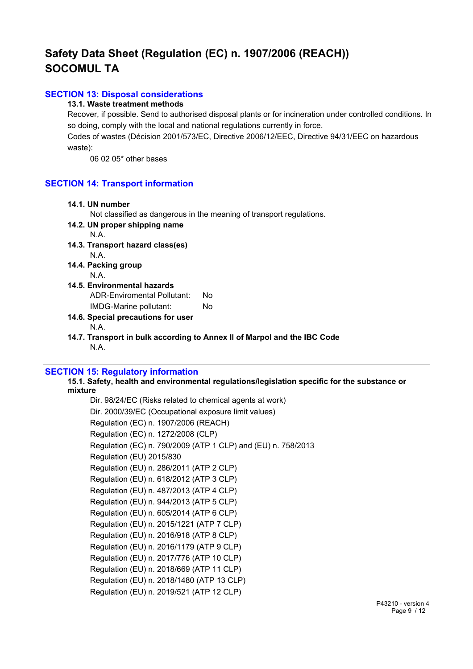## **SECTION 13: Disposal considerations**

### **13.1. Waste treatment methods**

Recover, if possible. Send to authorised disposal plants or for incineration under controlled conditions. In so doing, comply with the local and national regulations currently in force.

Codes of wastes (Décision 2001/573/EC, Directive 2006/12/EEC, Directive 94/31/EEC on hazardous waste):

06 02 05\* other bases

#### **SECTION 14: Transport information**

#### **14.1. UN number**

Not classified as dangerous in the meaning of transport regulations.

**14.2. UN proper shipping name** N.A.

- **14.3. Transport hazard class(es)**  N.A.
- **14.4. Packing group** N.A.
- **14.5. Environmental hazards** ADR-Enviromental Pollutant: No

IMDG-Marine pollutant: No

- **14.6. Special precautions for user** N.A.
- **14.7. Transport in bulk according to Annex II of Marpol and the IBC Code** N.A.

#### **SECTION 15: Regulatory information**

**15.1. Safety, health and environmental regulations/legislation specific for the substance or mixture**

Dir. 98/24/EC (Risks related to chemical agents at work) Dir. 2000/39/EC (Occupational exposure limit values) Regulation (EC) n. 1907/2006 (REACH) Regulation (EC) n. 1272/2008 (CLP) Regulation (EC) n. 790/2009 (ATP 1 CLP) and (EU) n. 758/2013 Regulation (EU) 2015/830 Regulation (EU) n. 286/2011 (ATP 2 CLP) Regulation (EU) n. 618/2012 (ATP 3 CLP) Regulation (EU) n. 487/2013 (ATP 4 CLP) Regulation (EU) n. 944/2013 (ATP 5 CLP) Regulation (EU) n. 605/2014 (ATP 6 CLP) Regulation (EU) n. 2015/1221 (ATP 7 CLP) Regulation (EU) n. 2016/918 (ATP 8 CLP) Regulation (EU) n. 2016/1179 (ATP 9 CLP) Regulation (EU) n. 2017/776 (ATP 10 CLP) Regulation (EU) n. 2018/669 (ATP 11 CLP) Regulation (EU) n. 2018/1480 (ATP 13 CLP) Regulation (EU) n. 2019/521 (ATP 12 CLP)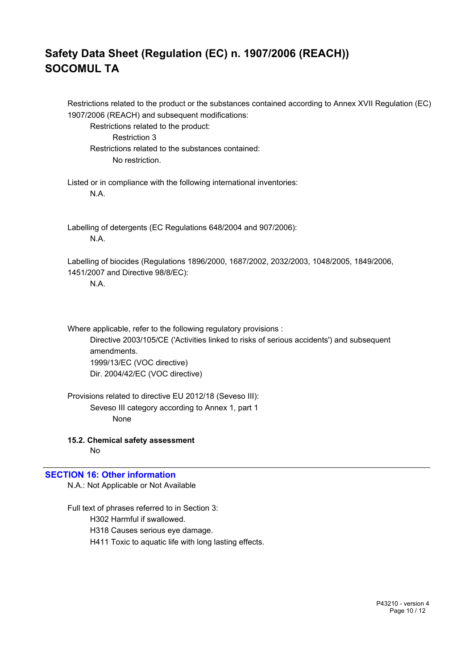Restrictions related to the product or the substances contained according to Annex XVII Regulation (EC) 1907/2006 (REACH) and subsequent modifications: Restrictions related to the product: Restriction 3 Restrictions related to the substances contained: No restriction. Listed or in compliance with the following international inventories: N.A. Labelling of detergents (EC Regulations 648/2004 and 907/2006): N.A. Labelling of biocides (Regulations 1896/2000, 1687/2002, 2032/2003, 1048/2005, 1849/2006, 1451/2007 and Directive 98/8/EC): N.A.

Where applicable, refer to the following regulatory provisions : Directive 2003/105/CE ('Activities linked to risks of serious accidents') and subsequent amendments. 1999/13/EC (VOC directive) Dir. 2004/42/EC (VOC directive)

Provisions related to directive EU 2012/18 (Seveso III): Seveso III category according to Annex 1, part 1 None

**15.2. Chemical safety assessment** No

## **SECTION 16: Other information**

N.A.: Not Applicable or Not Available

Full text of phrases referred to in Section 3: H302 Harmful if swallowed. H318 Causes serious eye damage. H411 Toxic to aquatic life with long lasting effects.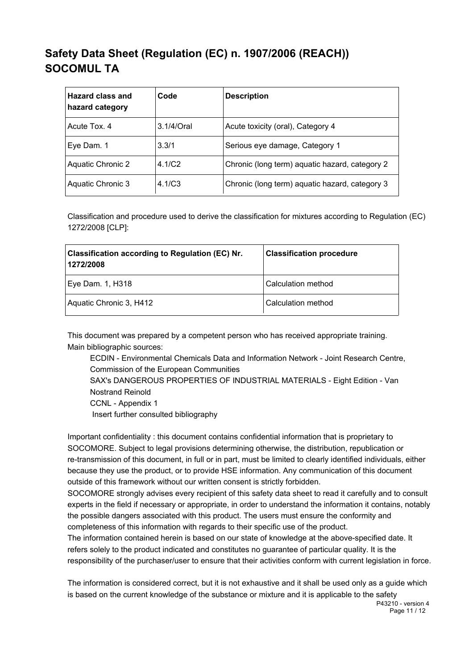| <b>Hazard class and</b><br>hazard category | Code          | <b>Description</b>                             |
|--------------------------------------------|---------------|------------------------------------------------|
| Acute Tox, 4                               | $3.1/4$ /Oral | Acute toxicity (oral), Category 4              |
| Eye Dam. 1                                 | 3.3/1         | Serious eye damage, Category 1                 |
| Aquatic Chronic 2                          | 4.1/C2        | Chronic (long term) aquatic hazard, category 2 |
| Aquatic Chronic 3                          | 4.1/C3        | Chronic (long term) aquatic hazard, category 3 |

Classification and procedure used to derive the classification for mixtures according to Regulation (EC) 1272/2008 [CLP]:

| <b>Classification according to Regulation (EC) Nr.</b><br>1272/2008 | <b>Classification procedure</b> |
|---------------------------------------------------------------------|---------------------------------|
| Eye Dam. 1, H318                                                    | Calculation method              |
| Aquatic Chronic 3, H412                                             | Calculation method              |

This document was prepared by a competent person who has received appropriate training. Main bibliographic sources:

ECDIN - Environmental Chemicals Data and Information Network - Joint Research Centre, Commission of the European Communities

SAX's DANGEROUS PROPERTIES OF INDUSTRIAL MATERIALS - Eight Edition - Van Nostrand Reinold

CCNL - Appendix 1

Insert further consulted bibliography

Important confidentiality : this document contains confidential information that is proprietary to SOCOMORE. Subject to legal provisions determining otherwise, the distribution, republication or re-transmission of this document, in full or in part, must be limited to clearly identified individuals, either because they use the product, or to provide HSE information. Any communication of this document outside of this framework without our written consent is strictly forbidden.

SOCOMORE strongly advises every recipient of this safety data sheet to read it carefully and to consult experts in the field if necessary or appropriate, in order to understand the information it contains, notably the possible dangers associated with this product. The users must ensure the conformity and completeness of this information with regards to their specific use of the product.

The information contained herein is based on our state of knowledge at the above-specified date. It refers solely to the product indicated and constitutes no guarantee of particular quality. It is the responsibility of the purchaser/user to ensure that their activities conform with current legislation in force.

The information is considered correct, but it is not exhaustive and it shall be used only as a guide which is based on the current knowledge of the substance or mixture and it is applicable to the safety